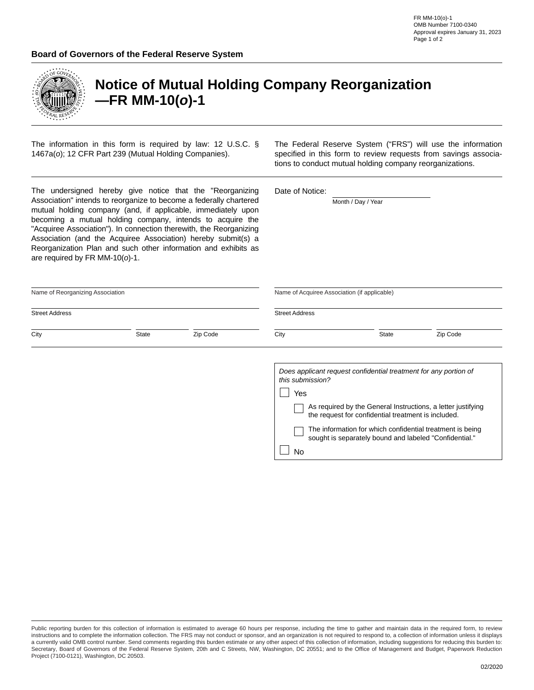| <b>ROERAL</b><br>RESERY |
|-------------------------|
|                         |

## **Notice of Mutual Holding Company Reorganization —FR MM-10(***o***)-1**

The information in this form is required by law: 12 U.S.C. § 1467a(*o*); 12 CFR Part 239 (Mutual Holding Companies).

The Federal Reserve System ("FRS") will use the information specified in this form to review requests from savings associations to conduct mutual holding company reorganizations.

| The undersigned hereby give notice that the "Reorganizing<br>Association" intends to reorganize to become a federally chartered<br>mutual holding company (and, if applicable, immediately upon<br>becoming a mutual holding company, intends to acquire the<br>"Acquiree Association"). In connection therewith, the Reorganizing<br>Association (and the Acquiree Association) hereby submit(s) a<br>Reorganization Plan and such other information and exhibits as<br>are required by FR MM-10( $o$ )-1. |              |          | Date of Notice:<br>Month / Day / Year             |                                                                                                                                                                                                                                                                                                                |          |  |
|-------------------------------------------------------------------------------------------------------------------------------------------------------------------------------------------------------------------------------------------------------------------------------------------------------------------------------------------------------------------------------------------------------------------------------------------------------------------------------------------------------------|--------------|----------|---------------------------------------------------|----------------------------------------------------------------------------------------------------------------------------------------------------------------------------------------------------------------------------------------------------------------------------------------------------------------|----------|--|
| Name of Reorganizing Association                                                                                                                                                                                                                                                                                                                                                                                                                                                                            |              |          |                                                   | Name of Acquiree Association (if applicable)                                                                                                                                                                                                                                                                   |          |  |
| <b>Street Address</b><br>$\blacktriangledown$                                                                                                                                                                                                                                                                                                                                                                                                                                                               |              |          | <b>Street Address</b><br>$\overline{\phantom{a}}$ |                                                                                                                                                                                                                                                                                                                |          |  |
| City                                                                                                                                                                                                                                                                                                                                                                                                                                                                                                        | <b>State</b> | Zip Code | City                                              | <b>State</b>                                                                                                                                                                                                                                                                                                   | Zip Code |  |
|                                                                                                                                                                                                                                                                                                                                                                                                                                                                                                             |              |          | this submission?<br>Yes<br><b>No</b>              | Does applicant request confidential treatment for any portion of<br>As required by the General Instructions, a letter justifying<br>the request for confidential treatment is included.<br>The information for which confidential treatment is being<br>sought is separately bound and labeled "Confidential." |          |  |

Public reporting burden for this collection of information is estimated to average 60 hours per response, including the time to gather and maintain data in the required form, to review instructions and to complete the information collection. The FRS may not conduct or sponsor, and an organization is not required to respond to, a collection of information unless it displays a currently valid OMB control number. Send comments regarding this burden estimate or any other aspect of this collection of information, including suggestions for reducing this burden to: Secretary, Board of Governors of the Federal Reserve System, 20th and C Streets, NW, Washington, DC 20551; and to the Office of Management and Budget, Paperwork Reduction Project (7100-0121), Washington, DC 20503.